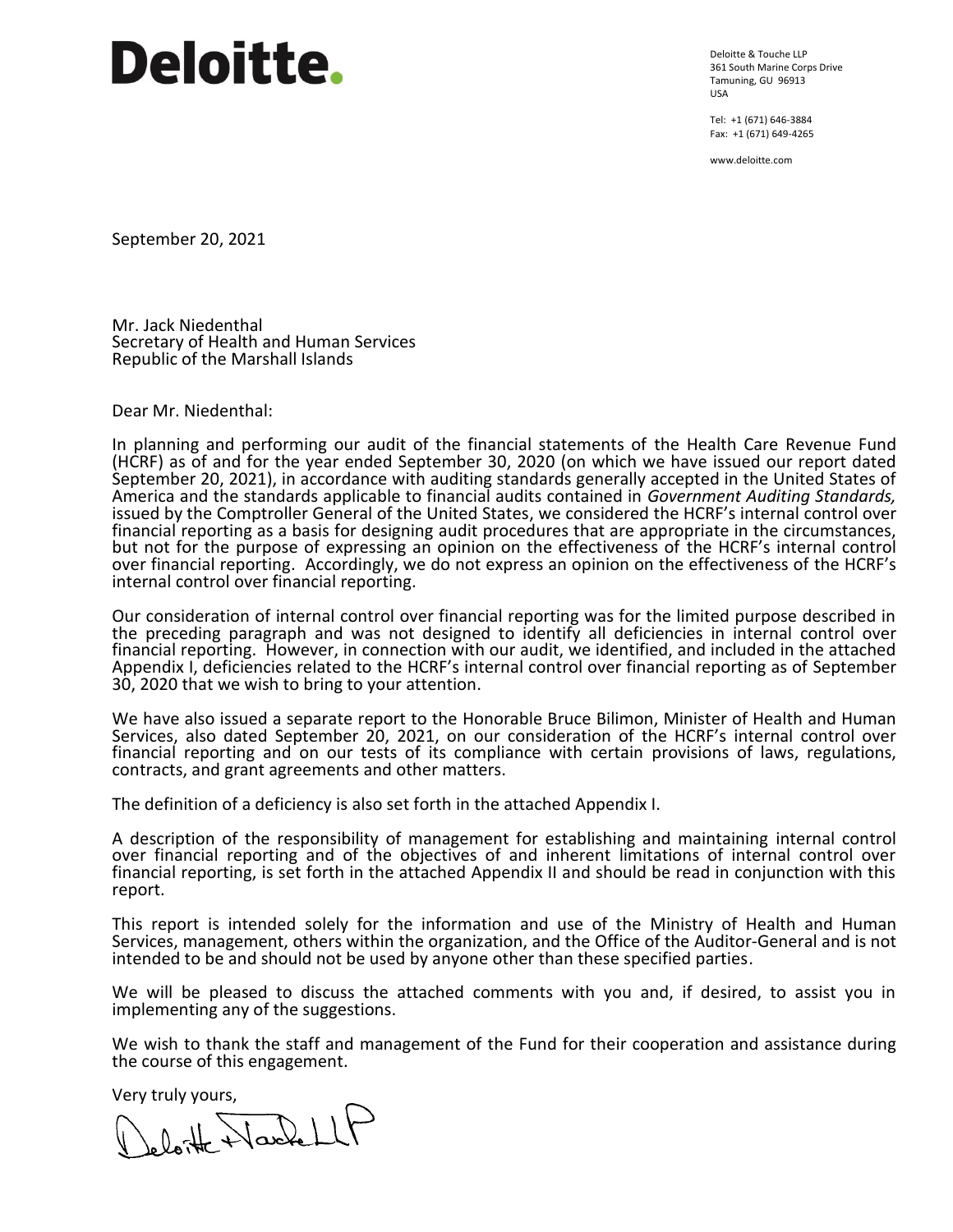# **Deloitte.**

Deloitte & Touche LLP 361 South Marine Corps Drive Tamuning, GU 96913 USA

Tel: +1 (671) 646-3884 Fax: +1 (671) 649-4265

www.deloitte.com

September 20, 2021

Mr. Jack Niedenthal Secretary of Health and Human Services Republic of the Marshall Islands

Dear Mr. Niedenthal:

In planning and performing our audit of the financial statements of the Health Care Revenue Fund (HCRF) as of and for the year ended September 30, 2020 (on which we have issued our report dated September 20, 2021), in accordance with auditing standards generally accepted in the United States of America and the standards applicable to financial audits contained in *Government Auditing Standards,*  issued by the Comptroller General of the United States, we considered the HCRF's internal control over financial reporting as a basis for designing audit procedures that are appropriate in the circumstances, but not for the purpose of expressing an opinion on the effectiveness of the HCRF's internal control over financial reporting. Accordingly, we do not express an opinion on the effectiveness of the HCRF's internal control over financial reporting.

Our consideration of internal control over financial reporting was for the limited purpose described in the preceding paragraph and was not designed to identify all deficiencies in internal control over financial reporting. However, in connection with our audit, we identified, and included in the attached Appendix I, deficiencies related to the HCRF's internal control over financial reporting as of September 30, 2020 that we wish to bring to your attention.

We have also issued a separate report to the Honorable Bruce Bilimon, Minister of Health and Human Services, also dated September 20, 2021, on our consideration of the HCRF's internal control over financial reporting and on our tests of its compliance with certain provisions of laws, regulations, contracts, and grant agreements and other matters.

The definition of a deficiency is also set forth in the attached Appendix I.

A description of the responsibility of management for establishing and maintaining internal control over financial reporting and of the objectives of and inherent limitations of internal control over financial reporting, is set forth in the attached Appendix II and should be read in conjunction with this report.

This report is intended solely for the information and use of the Ministry of Health and Human Services, management, others within the organization, and the Office of the Auditor-General and is not intended to be and should not be used by anyone other than these specified parties.

We will be pleased to discuss the attached comments with you and, if desired, to assist you in implementing any of the suggestions.

We wish to thank the staff and management of the Fund for their cooperation and assistance during the course of this engagement.

Very truly yours,<br>Lelo<del>nte</del> Nouvell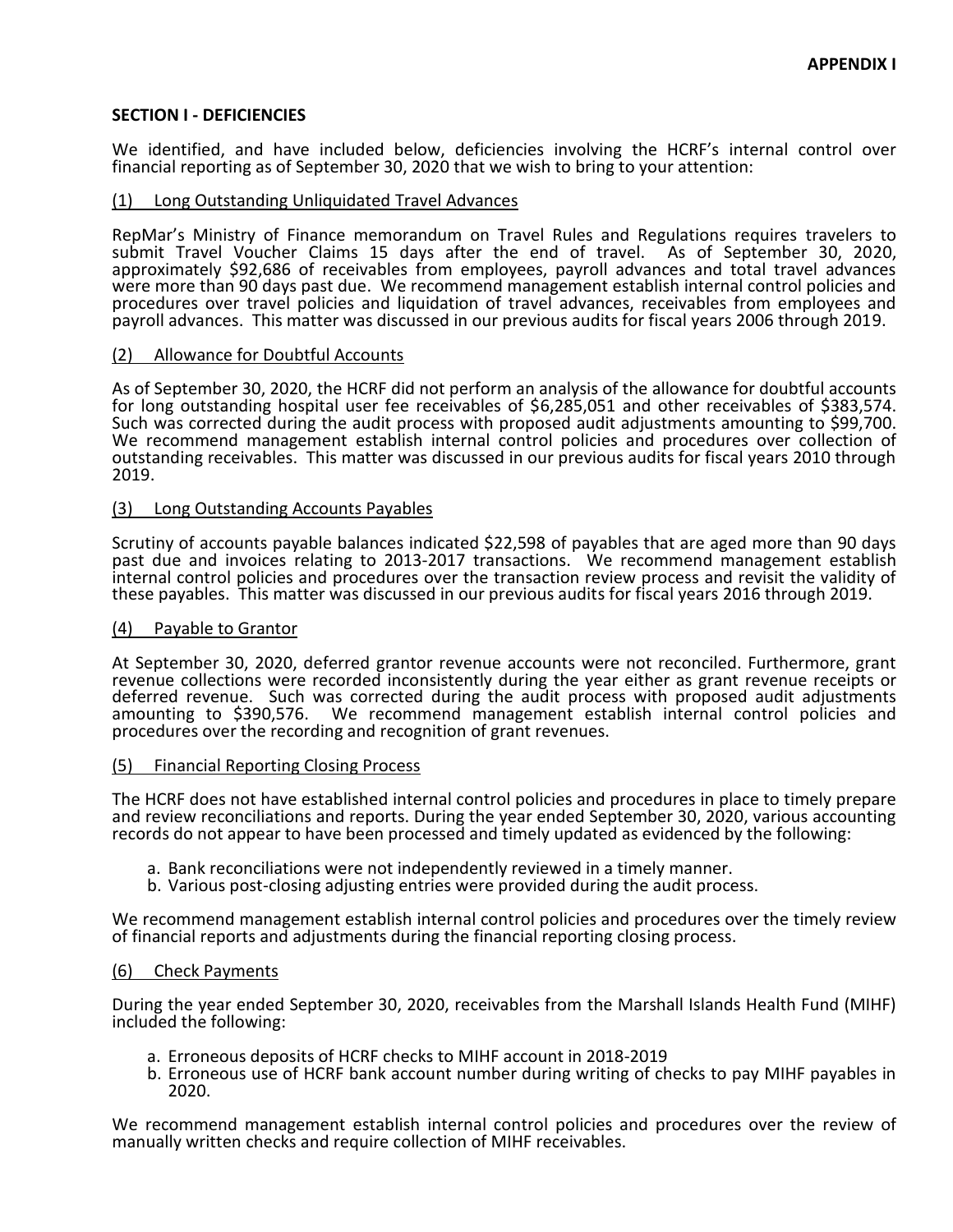# **SECTION I - DEFICIENCIES**

We identified, and have included below, deficiencies involving the HCRF's internal control over financial reporting as of September 30, 2020 that we wish to bring to your attention:

# (1) Long Outstanding Unliquidated Travel Advances

RepMar's Ministry of Finance memorandum on Travel Rules and Regulations requires travelers to submit Travel Voucher Claims 15 days after the end of travel. As of September 30, 2020, approximately \$92,686 of receivables from employees, payroll advances and total travel advances were more than 90 days past due. We recommend management establish internal control policies and procedures over travel policies and liquidation of travel advances, receivables from employees and payroll advances. This matter was discussed in our previous audits for fiscal years 2006 through 2019.

## (2) Allowance for Doubtful Accounts

As of September 30, 2020, the HCRF did not perform an analysis of the allowance for doubtful accounts for long outstanding hospital user fee receivables of \$6,285,051 and other receivables of \$383,574. Such was corrected during the audit process with proposed audit adjustments amounting to \$99,700. We recommend management establish internal control policies and procedures over collection of outstanding receivables. This matter was discussed in our previous audits for fiscal years 2010 through 2019.

## (3) Long Outstanding Accounts Payables

Scrutiny of accounts payable balances indicated \$22,598 of payables that are aged more than 90 days past due and invoices relating to 2013-2017 transactions. We recommend management establish internal control policies and procedures over the transaction review process and revisit the validity of these payables. This matter was discussed in our previous audits for fiscal years 2016 through 2019.

## (4) Payable to Grantor

At September 30, 2020, deferred grantor revenue accounts were not reconciled. Furthermore, grant revenue collections were recorded inconsistently during the year either as grant revenue receipts or deferred revenue. Such was corrected during the audit process with proposed audit adjustments amounting to \$390,576. We recommend management establish internal control policies and procedures over the recording and recognition of grant revenues.

## (5) Financial Reporting Closing Process

The HCRF does not have established internal control policies and procedures in place to timely prepare and review reconciliations and reports. During the year ended September 30, 2020, various accounting records do not appear to have been processed and timely updated as evidenced by the following:

- a. Bank reconciliations were not independently reviewed in a timely manner.
- b. Various post-closing adjusting entries were provided during the audit process.

We recommend management establish internal control policies and procedures over the timely review of financial reports and adjustments during the financial reporting closing process.

## (6) Check Payments

During the year ended September 30, 2020, receivables from the Marshall Islands Health Fund (MIHF) included the following:

- a. Erroneous deposits of HCRF checks to MIHF account in 2018-2019
- b. Erroneous use of HCRF bank account number during writing of checks to pay MIHF payables in 2020.

We recommend management establish internal control policies and procedures over the review of manually written checks and require collection of MIHF receivables.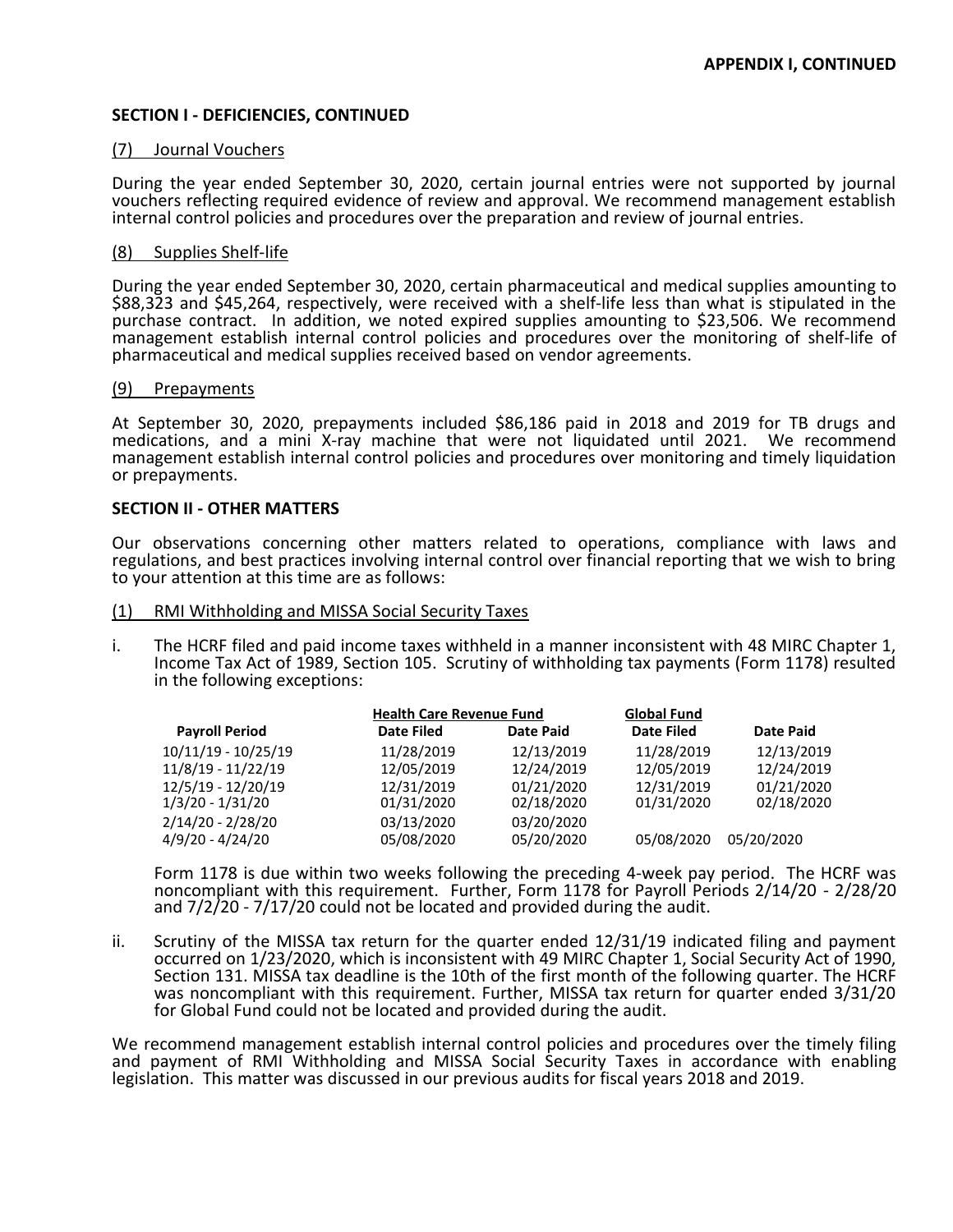# **SECTION I - DEFICIENCIES, CONTINUED**

## (7) Journal Vouchers

During the year ended September 30, 2020, certain journal entries were not supported by journal vouchers reflecting required evidence of review and approval. We recommend management establish internal control policies and procedures over the preparation and review of journal entries.

#### (8) Supplies Shelf-life

During the year ended September 30, 2020, certain pharmaceutical and medical supplies amounting to \$88,323 and \$45,264, respectively, were received with a shelf-life less than what is stipulated in the purchase contract. In addition, we noted expired supplies amounting to \$23,506. We recommend management establish internal control policies and procedures over the monitoring of shelf-life of pharmaceutical and medical supplies received based on vendor agreements.

#### (9) Prepayments

At September 30, 2020, prepayments included \$86,186 paid in 2018 and 2019 for TB drugs and medications, and a mini X-ray machine that were not liquidated until 2021. We recommend management establish internal control policies and procedures over monitoring and timely liquidation or prepayments.

## **SECTION II - OTHER MATTERS**

Our observations concerning other matters related to operations, compliance with laws and regulations, and best practices involving internal control over financial reporting that we wish to bring to your attention at this time are as follows:

#### (1) RMI Withholding and MISSA Social Security Taxes

i. The HCRF filed and paid income taxes withheld in a manner inconsistent with 48 MIRC Chapter 1, Income Tax Act of 1989, Section 105. Scrutiny of withholding tax payments (Form 1178) resulted in the following exceptions:

| <b>Payroll Period</b>                  | <b>Health Care Revenue Fund</b> |                          | <b>Global Fund</b>       |                          |
|----------------------------------------|---------------------------------|--------------------------|--------------------------|--------------------------|
|                                        | <b>Date Filed</b>               | <b>Date Paid</b>         | <b>Date Filed</b>        | <b>Date Paid</b>         |
| 10/11/19 - 10/25/19                    | 11/28/2019                      | 12/13/2019               | 11/28/2019               | 12/13/2019               |
| 11/8/19 - 11/22/19                     | 12/05/2019                      | 12/24/2019               | 12/05/2019               | 12/24/2019               |
| 12/5/19 - 12/20/19<br>1/3/20 - 1/31/20 | 12/31/2019<br>01/31/2020        | 01/21/2020<br>02/18/2020 | 12/31/2019<br>01/31/2020 | 01/21/2020<br>02/18/2020 |
| 2/14/20 - 2/28/20<br>4/9/20 - 4/24/20  | 03/13/2020<br>05/08/2020        | 03/20/2020<br>05/20/2020 | 05/08/2020               | 05/20/2020               |

Form 1178 is due within two weeks following the preceding 4-week pay period. The HCRF was noncompliant with this requirement. Further, Form 1178 for Payroll Periods 2/14/20 - 2/28/20 and 7/2/20 - 7/17/20 could not be located and provided during the audit.

ii. Scrutiny of the MISSA tax return for the quarter ended 12/31/19 indicated filing and payment occurred on 1/23/2020, which is inconsistent with 49 MIRC Chapter 1, Social Security Act of 1990, Section 131. MISSA tax deadline is the 10th of the first month of the following quarter. The HCRF was noncompliant with this requirement. Further, MISSA tax return for quarter ended 3/31/20 for Global Fund could not be located and provided during the audit.

We recommend management establish internal control policies and procedures over the timely filing and payment of RMI Withholding and MISSA Social Security Taxes in accordance with enabling legislation. This matter was discussed in our previous audits for fiscal years 2018 and 2019.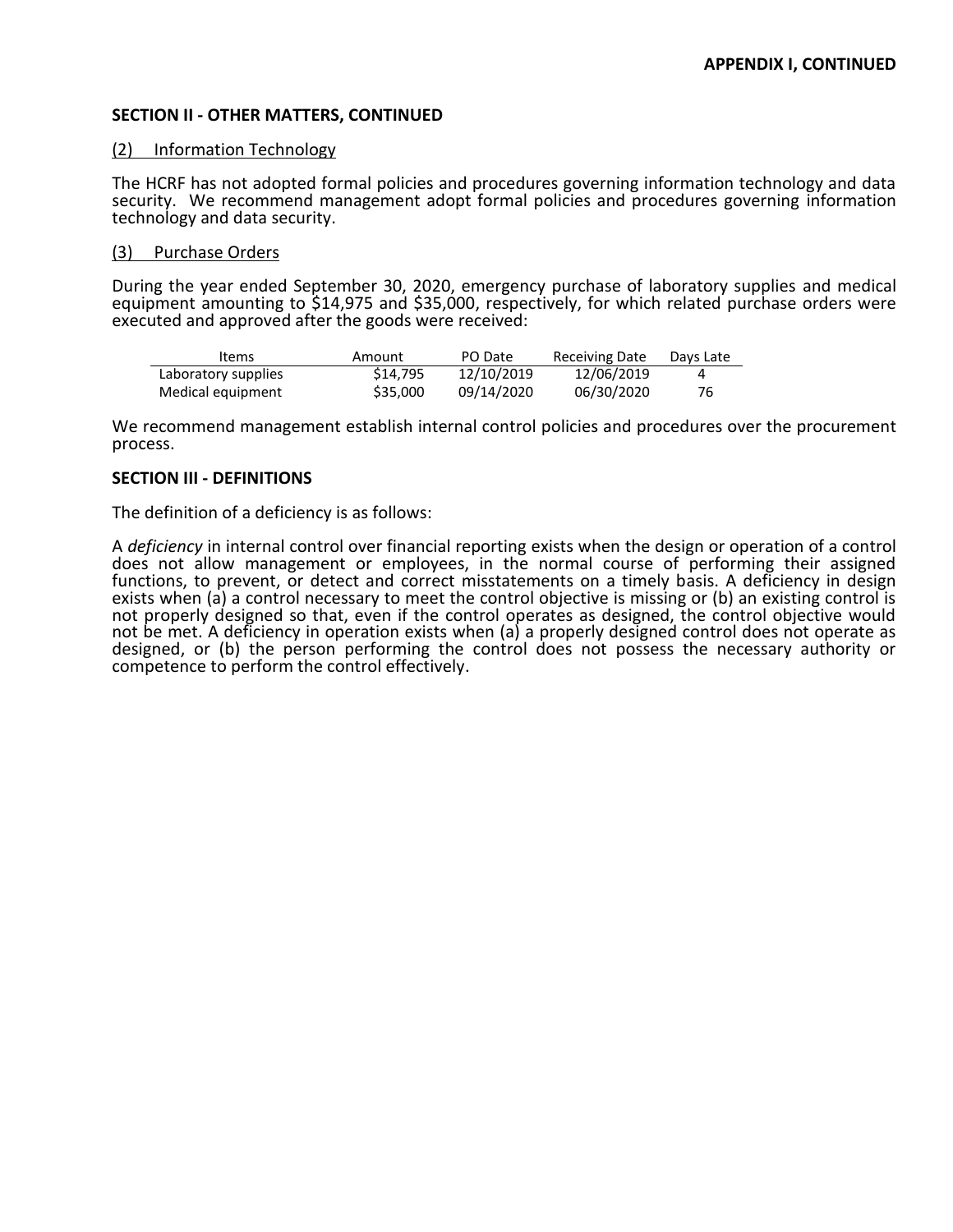# **SECTION II - OTHER MATTERS, CONTINUED**

## (2) Information Technology

The HCRF has not adopted formal policies and procedures governing information technology and data security. We recommend management adopt formal policies and procedures governing information technology and data security.

# (3) Purchase Orders

During the year ended September 30, 2020, emergency purchase of laboratory supplies and medical equipment amounting to \$14,975 and \$35,000, respectively, for which related purchase orders were executed and approved after the goods were received:

| Items               | Amount   | PO Date    | <b>Receiving Date</b> | Days Late |
|---------------------|----------|------------|-----------------------|-----------|
| Laboratory supplies | \$14,795 | 12/10/2019 | 12/06/2019            |           |
| Medical equipment   | \$35,000 | 09/14/2020 | 06/30/2020            | 76        |

We recommend management establish internal control policies and procedures over the procurement process.

# **SECTION III - DEFINITIONS**

The definition of a deficiency is as follows:

A *deficiency* in internal control over financial reporting exists when the design or operation of a control does not allow management or employees, in the normal course of performing their assigned functions, to prevent, or detect and correct misstatements on a timely basis. A deficiency in design exists when (a) a control necessary to meet the control objective is missing or (b) an existing control is not properly designed so that, even if the control operates as designed, the control objective would not be met. A deficiency in operation exists when (a) a properly designed control does not operate as designed, or (b) the person performing the control does not possess the necessary authority or competence to perform the control effectively.